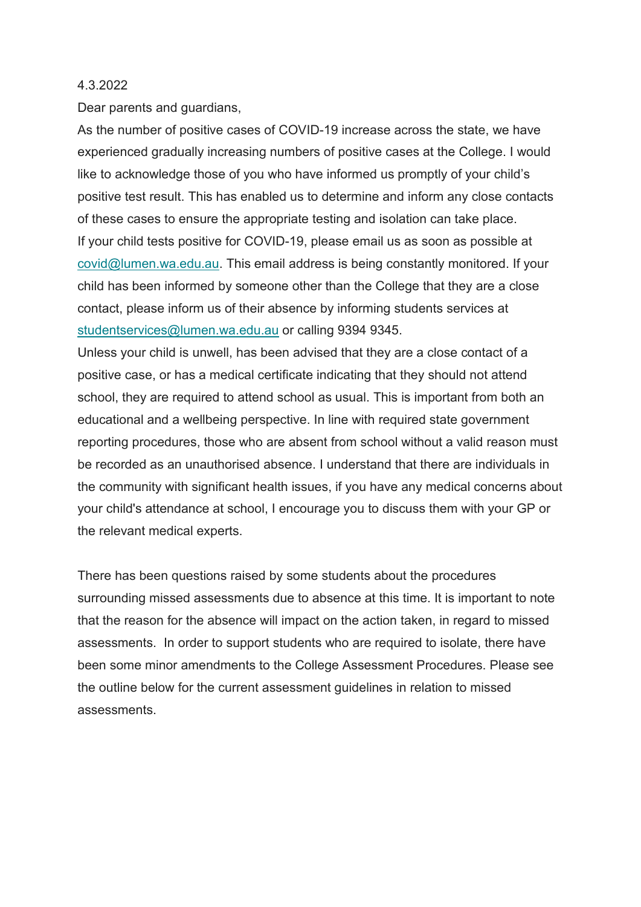#### 4.3.2022

Dear parents and guardians,

As the number of positive cases of COVID-19 increase across the state, we have experienced gradually increasing numbers of positive cases at the College. I would like to acknowledge those of you who have informed us promptly of your child's positive test result. This has enabled us to determine and inform any close contacts of these cases to ensure the appropriate testing and isolation can take place. If your child tests positive for COVID-19, please email us as soon as possible at [covid@lumen.wa.edu.au.](mailto:covid@lumen.wa.edu.au) This email address is being constantly monitored. If your child has been informed by someone other than the College that they are a close contact, please inform us of their absence by informing students services at [studentservices@lumen.wa.edu.au](mailto:studentservices@lumen.wa.edu.au) or calling 9394 9345.

Unless your child is unwell, has been advised that they are a close contact of a positive case, or has a medical certificate indicating that they should not attend school, they are required to attend school as usual. This is important from both an educational and a wellbeing perspective. In line with required state government reporting procedures, those who are absent from school without a valid reason must be recorded as an unauthorised absence. I understand that there are individuals in the community with significant health issues, if you have any medical concerns about your child's attendance at school, I encourage you to discuss them with your GP or the relevant medical experts.

There has been questions raised by some students about the procedures surrounding missed assessments due to absence at this time. It is important to note that the reason for the absence will impact on the action taken, in regard to missed assessments. In order to support students who are required to isolate, there have been some minor amendments to the College Assessment Procedures. Please see the outline below for the current assessment guidelines in relation to missed assessments.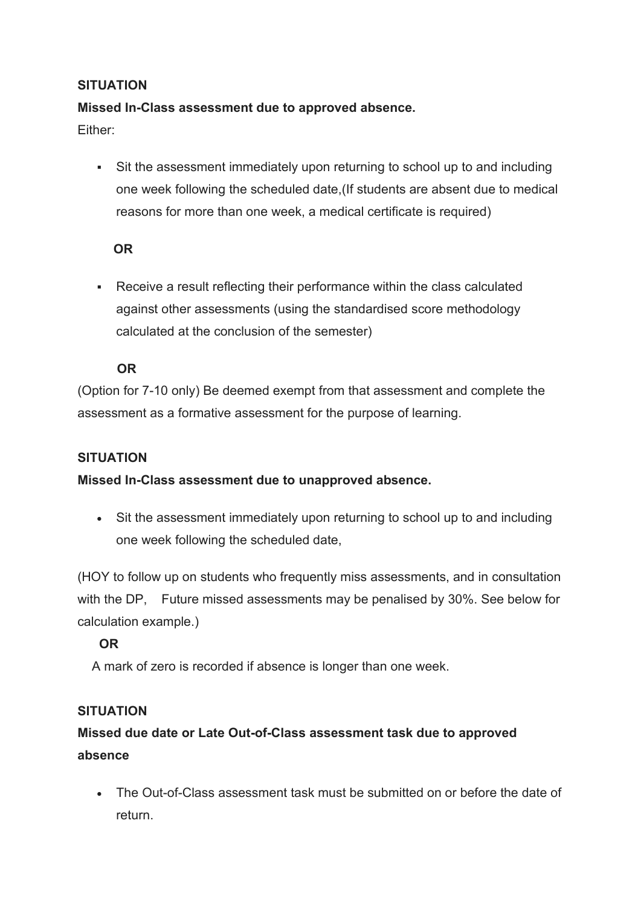# **SITUATION**

### **Missed In-Class assessment due to approved absence.**

Either:

 Sit the assessment immediately upon returning to school up to and including one week following the scheduled date,(If students are absent due to medical reasons for more than one week, a medical certificate is required)

## **OR**

 Receive a result reflecting their performance within the class calculated against other assessments (using the standardised score methodology calculated at the conclusion of the semester)

# **OR**

(Option for 7-10 only) Be deemed exempt from that assessment and complete the assessment as a formative assessment for the purpose of learning.

#### **SITUATION**

**Missed In-Class assessment due to unapproved absence.**

• Sit the assessment immediately upon returning to school up to and including one week following the scheduled date,

(HOY to follow up on students who frequently miss assessments, and in consultation with the DP, Future missed assessments may be penalised by 30%. See below for calculation example.)

# **OR**

A mark of zero is recorded if absence is longer than one week.

#### **SITUATION**

# **Missed due date or Late Out-of-Class assessment task due to approved absence**

• The Out-of-Class assessment task must be submitted on or before the date of return.